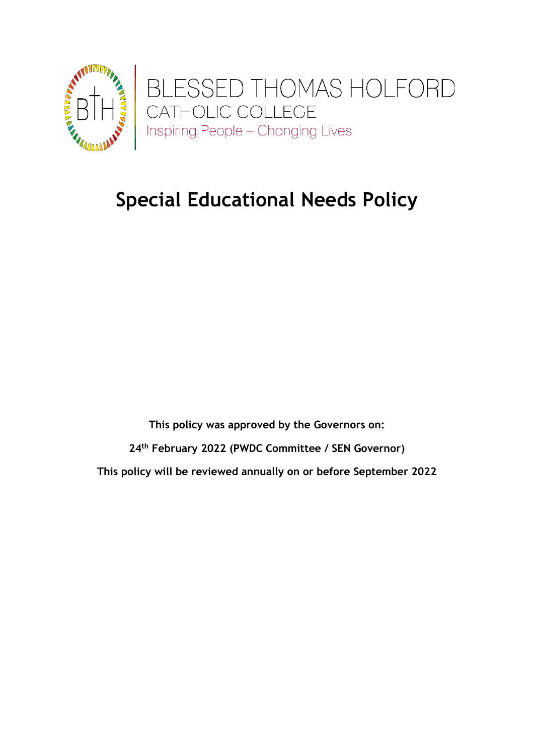

# **Special Educational Needs Policy**

**This policy was approved by the Governors on: 24th February 2022 (PWDC Committee / SEN Governor) This policy will be reviewed annually on or before September 2022**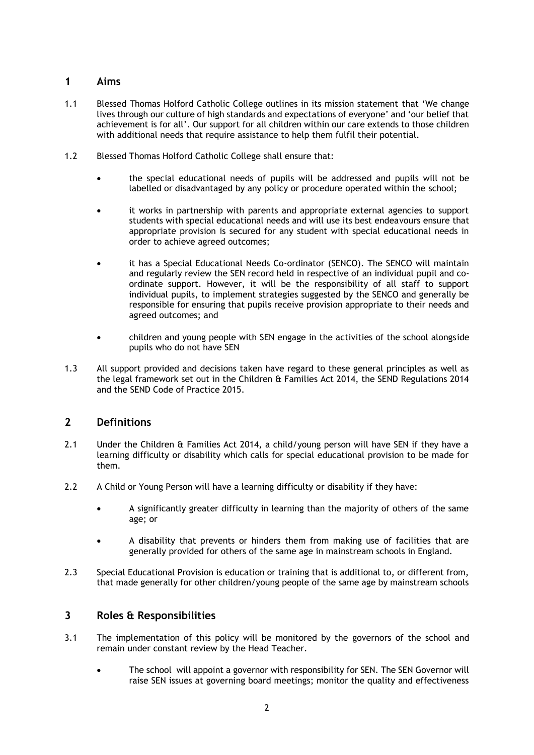## **1 Aims**

- 1.1 Blessed Thomas Holford Catholic College outlines in its mission statement that 'We change lives through our culture of high standards and expectations of everyone' and 'our belief that achievement is for all'. Our support for all children within our care extends to those children with additional needs that require assistance to help them fulfil their potential.
- 1.2 Blessed Thomas Holford Catholic College shall ensure that:
	- the special educational needs of pupils will be addressed and pupils will not be labelled or disadvantaged by any policy or procedure operated within the school;
	- it works in partnership with parents and appropriate external agencies to support students with special educational needs and will use its best endeavours ensure that appropriate provision is secured for any student with special educational needs in order to achieve agreed outcomes;
	- it has a Special Educational Needs Co-ordinator (SENCO). The SENCO will maintain and regularly review the SEN record held in respective of an individual pupil and coordinate support. However, it will be the responsibility of all staff to support individual pupils, to implement strategies suggested by the SENCO and generally be responsible for ensuring that pupils receive provision appropriate to their needs and agreed outcomes; and
	- children and young people with SEN engage in the activities of the school alongside pupils who do not have SEN
- 1.3 All support provided and decisions taken have regard to these general principles as well as the legal framework set out in the Children & Families Act 2014, the SEND Regulations 2014 and the SEND Code of Practice 2015.

## **2 Definitions**

- 2.1 Under the Children & Families Act 2014, a child/young person will have SEN if they have a learning difficulty or disability which calls for special educational provision to be made for them.
- 2.2 A Child or Young Person will have a learning difficulty or disability if they have:
	- A significantly greater difficulty in learning than the majority of others of the same age; or
	- A disability that prevents or hinders them from making use of facilities that are generally provided for others of the same age in mainstream schools in England.
- 2.3 Special Educational Provision is education or training that is additional to, or different from, that made generally for other children/young people of the same age by mainstream schools

## **3 Roles & Responsibilities**

- 3.1 The implementation of this policy will be monitored by the governors of the school and remain under constant review by the Head Teacher.
	- The school will appoint a governor with responsibility for SEN. The SEN Governor will raise SEN issues at governing board meetings; monitor the quality and effectiveness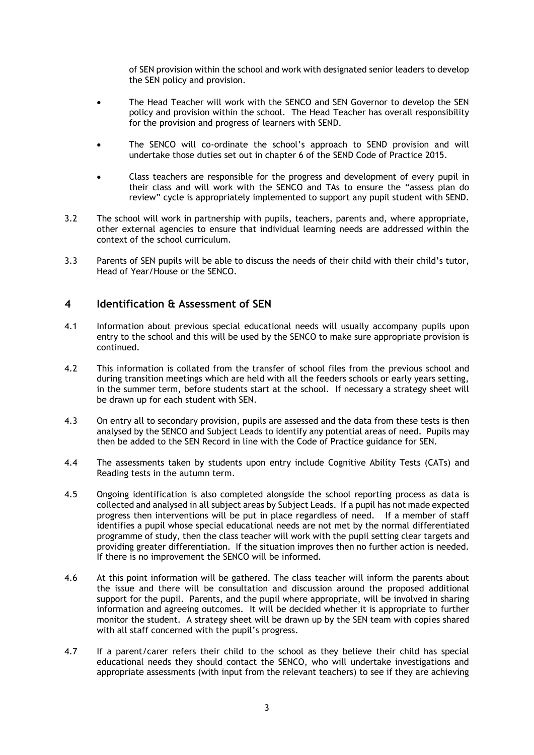of SEN provision within the school and work with designated senior leaders to develop the SEN policy and provision.

- The Head Teacher will work with the SENCO and SEN Governor to develop the SEN policy and provision within the school. The Head Teacher has overall responsibility for the provision and progress of learners with SEND.
- The SENCO will co-ordinate the school's approach to SEND provision and will undertake those duties set out in chapter 6 of the SEND Code of Practice 2015.
- Class teachers are responsible for the progress and development of every pupil in their class and will work with the SENCO and TAs to ensure the "assess plan do review" cycle is appropriately implemented to support any pupil student with SEND.
- 3.2 The school will work in partnership with pupils, teachers, parents and, where appropriate, other external agencies to ensure that individual learning needs are addressed within the context of the school curriculum.
- 3.3 Parents of SEN pupils will be able to discuss the needs of their child with their child's tutor, Head of Year/House or the SENCO.

### **4 Identification & Assessment of SEN**

- 4.1 Information about previous special educational needs will usually accompany pupils upon entry to the school and this will be used by the SENCO to make sure appropriate provision is continued.
- 4.2 This information is collated from the transfer of school files from the previous school and during transition meetings which are held with all the feeders schools or early years setting, in the summer term, before students start at the school. If necessary a strategy sheet will be drawn up for each student with SEN.
- 4.3 On entry all to secondary provision, pupils are assessed and the data from these tests is then analysed by the SENCO and Subject Leads to identify any potential areas of need. Pupils may then be added to the SEN Record in line with the Code of Practice guidance for SEN.
- 4.4 The assessments taken by students upon entry include Cognitive Ability Tests (CATs) and Reading tests in the autumn term.
- 4.5 Ongoing identification is also completed alongside the school reporting process as data is collected and analysed in all subject areas by Subject Leads. If a pupil has not made expected progress then interventions will be put in place regardless of need. If a member of staff identifies a pupil whose special educational needs are not met by the normal differentiated programme of study, then the class teacher will work with the pupil setting clear targets and providing greater differentiation. If the situation improves then no further action is needed. If there is no improvement the SENCO will be informed.
- 4.6 At this point information will be gathered. The class teacher will inform the parents about the issue and there will be consultation and discussion around the proposed additional support for the pupil. Parents, and the pupil where appropriate, will be involved in sharing information and agreeing outcomes. It will be decided whether it is appropriate to further monitor the student. A strategy sheet will be drawn up by the SEN team with copies shared with all staff concerned with the pupil's progress.
- 4.7 If a parent/carer refers their child to the school as they believe their child has special educational needs they should contact the SENCO, who will undertake investigations and appropriate assessments (with input from the relevant teachers) to see if they are achieving